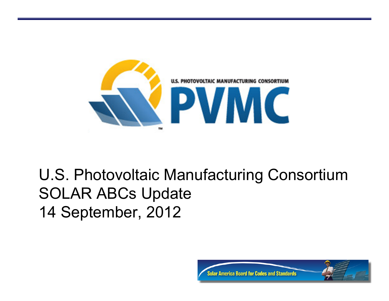

#### U.S. Photovoltaic Manufacturing Consortium SOLAR ABCs Update 14 September, 2012

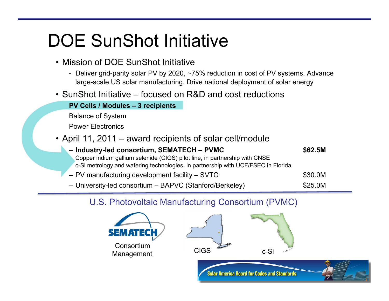### DOE SunShot Initiative

- Mission of DOE SunShot Initiative
	- Deliver grid-parity solar PV by 2020, ~75% reduction in cost of PV systems. Advance large-scale US solar manufacturing. Drive national deployment of solar energy
- SunShot Initiative focused on R&D and cost reductions

**PV Cells / Modules – 3 recipients** 

Balance of System

Power Electronics

• April 11, 2011 – award recipients of solar cell/module

| - Industry-led consortium, SEMATECH - PVMC                                        | \$62.5M |
|-----------------------------------------------------------------------------------|---------|
| Copper indium gallium selenide (CIGS) pilot line, in partnership with CNSE        |         |
| c-Si metrology and wafering technologies, in partnership with UCF/FSEC in Florida |         |
| - PV manufacturing development facility - SVTC                                    | \$30.0M |
| - University-led consortium - BAPVC (Stanford/Berkeley)                           | \$25.0M |

#### U.S. Photovoltaic Manufacturing Consortium (PVMC)

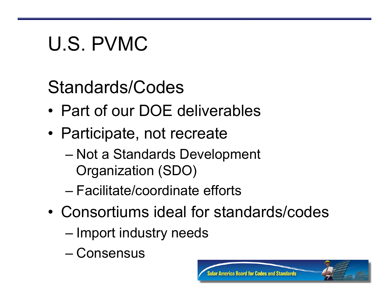# U.S. PVMC

Standards/Codes

- Part of our DOE deliverables
- Participate, not recreate
	- Not a Standards Development Organization (SDO)
	- Facilitate/coordinate efforts
- Consortiums ideal for standards/codes
	- Import industry needs
	- Consensus

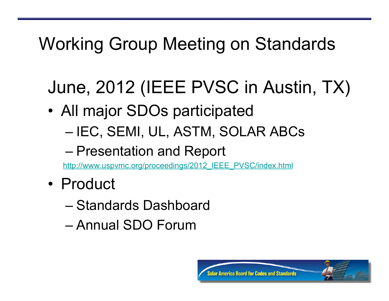### Working Group Meeting on Standards

## June, 2012 (IEEE PVSC in Austin, TX)

- All major SDOs participated
	- IEC, SEMI, UL, ASTM, SOLAR ABCs

#### – Presentation and Report

http://www.uspvmc.org/proceedings/2012\_IEEE\_PVSC/index.html

- Product
	- Standards Dashboard
	- Annual SDO Forum

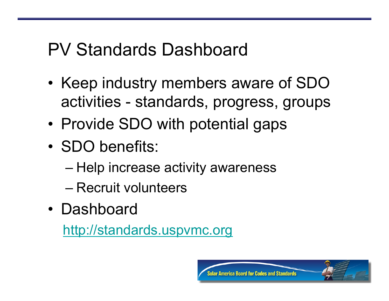### PV Standards Dashboard

- Keep industry members aware of SDO activities - standards, progress, groups
- Provide SDO with potential gaps
- SDO benefits:
	- Help increase activity awareness
	- Recruit volunteers
- Dashboard

http://standards.uspvmc.org

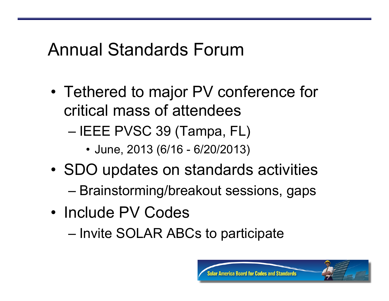#### Annual Standards Forum

- Tethered to major PV conference for critical mass of attendees
	- IEEE PVSC 39 (Tampa, FL)
		- June, 2013 (6/16 6/20/2013)
- SDO updates on standards activities
	- Brainstorming/breakout sessions, gaps
- Include PV Codes
	- Invite SOLAR ABCs to participate